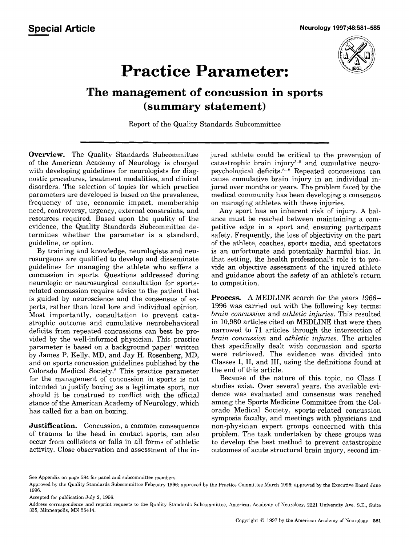# **Practice Parameter:**



# **The management of concussion in sports (summary statement)**

Report of the Quality Standards Subcommittee

**Overview.** The Quality Standards Subcommittee of the American Academy of Neurology is charged with developing guidelines for neurologists for diagnostic procedures, treatment modalities, and clinical disorders. The selection of topics for which practice parameters are developed is based on the prevalence, frequency of use, economic impact, membership need, controversy, urgency, external constraints, and resources required. Based upon the quality of the evidence, the Quality Standards Subcommittee determines whether the parameter is a standard, guideline, or option.

By training and knowledge, neurologists and neurosurgeons are qualified to develop and disseminate guidelines for managing the athlete who suffers a concussion in sports. Questions addressed during neurologic or neurosurgical consultation for sportsrelated concussion require advice to the patient that is guided by neuroscience and the consensus of experts, rather than local lore and individual opinion. Most importantly, consultation to prevent catastrophic outcome and cumulative neurobehavioral deficits from repeated concussions can best be provided by the well-informed physician. This practice parameter is based on a background paper<sup>1</sup> written by James P. Kelly, MD, and Jay H. Rosenberg, MD, and on sports concussion guidelines published by the Colorado Medical Society.2 This practice parameter for the management of concussion in sports is not intended to justify boxing as a legitimate sport, nor should it be construed to conflict with the official stance of the American Academy of Neurology, which has called for a ban on boxing.

**Justification.** Concussion, a common consequence of trauma to the head in contact sports, can also occur from collisions or falls in all forms of athletic activity. Close observation and assessment of the injured athlete could be critical to the prevention of catastrophic brain injury $3-5$  and cumulative neuropsychological deficits. $6-8$  Repeated concussions can cause cumulative brain injury in an individual injured over months or years. The problem faced by the medical community has been developing a consensus on managing athletes with these injuries.

Any sport has an inherent risk of injury. **A** balance must be reached between maintaining a competitive edge in a sport and ensuring participant safety. Frequently, the loss of objectivity on the part of the athlete, coaches, sports media, and spectators is an unfortunate and potentially harmful bias. In that setting, the health professional's role is to provide an objective assessment of the injured athlete and guidance about the safety of an athlete's return to competition.

**Process. A** MEDLINE search for the years *1966-*  1996 was carried out with the following key terms: *brain concussion* and *athletic injuries.* This resulted in 10,980 articles cited on MEDLINE that were then narrowed to 71 articles through the intersection of *brain concussion* and *athletic injuries.* The articles that specifically dealt with concussion and sports were retrieved. The evidence was divided into Classes I, **11,** and 111, using the definitions found at the end of this article.

Because of the nature of this topic, no Class I studies exist. Over several years, the available evidence was evaluated and consensus was reached among the Sports Medicine Committee from the Colorado Medical Society, sports-related concussion symposia faculty, and meetings with physicians and non-physician expert groups concerned with this problem. The task undertaken by these groups was to develop the best method to prevent catastrophic outcomes of acute structural brain injury, second im-

See Appendix on page 584 for panel and subcommittee members.

Approved by the Quality Standards Subcommittee February 1996; approved by the Practice Committee March 1996; approved by the Executive Board June 1996.

Accepted for publication July 2, 1996.

Address correspondence and reprint requests to the Quality Standards Subcommittee, American Academy of Neurology, 2221 University Ave. S.E., Suite **335,** Minneapolis, MN 55414.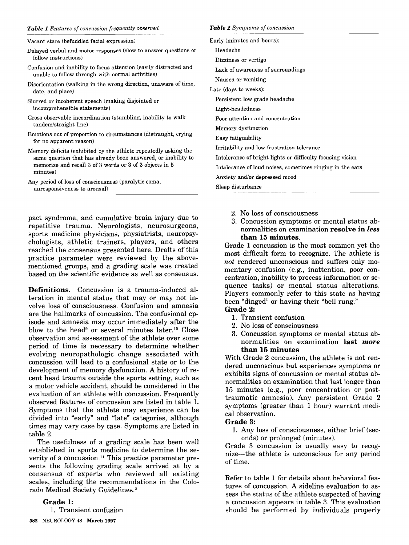| Table 1 Features of concussion frequently observed                                                                                                                                                      | <b>Table 2</b> Symptoms of concussion                      |  |  |  |  |
|---------------------------------------------------------------------------------------------------------------------------------------------------------------------------------------------------------|------------------------------------------------------------|--|--|--|--|
| Vacant stare (befuddled facial expression)                                                                                                                                                              | Early (minutes and hours):                                 |  |  |  |  |
| Delayed verbal and motor responses (slow to answer questions or                                                                                                                                         | Headache                                                   |  |  |  |  |
| follow instructions)                                                                                                                                                                                    | Dizziness or vertigo                                       |  |  |  |  |
| Confusion and inability to focus attention (easily distracted and<br>unable to follow through with normal activities)                                                                                   | Lack of awareness of surroundings                          |  |  |  |  |
|                                                                                                                                                                                                         | Nausea or vomiting                                         |  |  |  |  |
| Disorientation (walking in the wrong direction, unaware of time,<br>date, and place)                                                                                                                    | Late (days to weeks):                                      |  |  |  |  |
| Slurred or incoherent speech (making disjointed or<br>incomprehensible statements)                                                                                                                      | Persistent low grade headache                              |  |  |  |  |
|                                                                                                                                                                                                         | Light-headedness                                           |  |  |  |  |
| Gross observable incoordination (stumbling, inability to walk<br>tandem/straight line)<br>Emotions out of proportion to circumstances (distraught, crying<br>for no apparent reason)                    | Poor attention and concentration                           |  |  |  |  |
|                                                                                                                                                                                                         | Memory dysfunction                                         |  |  |  |  |
|                                                                                                                                                                                                         | Easy fatiguability                                         |  |  |  |  |
| Memory deficits (exhibited by the athlete repeatedly asking the<br>same question that has already been answered, or inability to<br>memorize and recall 3 of 3 words or 3 of 3 objects in 5<br>minutes) | Irritability and low frustration tolerance                 |  |  |  |  |
|                                                                                                                                                                                                         | Intolerance of bright lights or difficulty focusing vision |  |  |  |  |
|                                                                                                                                                                                                         | Intolerance of loud noises, sometimes ringing in the ears  |  |  |  |  |
|                                                                                                                                                                                                         | Anxiety and/or depressed mood                              |  |  |  |  |
| Any period of loss of consciousness (paralytic coma,<br>unresponsiveness to arousal)                                                                                                                    | Sleep disturbance                                          |  |  |  |  |

pact syndrome, and cumulative brain injury due to repetitive trauma. Neurologists, neurosurgeons, sports medicine physicians, physiatrists, neuropsychologists, athletic trainers, players, and others reached the consensus presented here. Drafts of this practice parameter were reviewed by the abovementioned groups, and a grading scale was created based on the scientific evidence as well as consensus.

**Definitions.** Concussion is a trauma-induced alteration in mental status that may or may not involve loss of consciousness. Confusion and amnesia are the hallmarks of concussion. The confusional episode and amnesia may occur immediately after the blow to the head<sup>9</sup> or several minutes later.<sup>10</sup> Close observation and assessment of the athlete over some period of time is necessary to determine whether evolving neuropathologic change associated with concussion will lead to a confusional state or to the development of memory dysfunction. **A** history of recent head trauma outside the sports setting, such as a motor vehicle accident, should be considered in the evaluation of an athlete with concussion. Frequently observed features of concussion are listed in table **1.**  Symptoms that the athlete may experience can be divided into "early" and "late" categories, although times may vary case by case. Symptoms are listed in table 2.

The usefulness of a grading scale has been well established in sports medicine to determine the severity of a concussion.<sup>11</sup> This practice parameter presents the following grading scale arrived at by a consensus of experts who reviewed all existing scales, including the recommendations in the Colorado Medical Society Guidelines.2

## **Grade 1:**

1. Transient confusion

- 2. No loss of consciousness
- **3.** Concussion symptoms or mental status abnormalities on examination **resolve in** *less*  **than 15 minutes.**

Grade **1** concussion is the most common yet the most difficult form to recognize. The athlete is *not* rendered unconscious and suffers only momentary confusion (e.g., inattention, poor concentration, inability to process information or sequence tasks) or mental status alterations. Players commonly refer to this state as having been "dinged" or having their "bell rung." **Grade 2:** 

- 1. Transient confusion
- **2.** No loss of consciousness
- **3.** Concussion symptoms or mental status abnormalities on examination **last** *more*  **than 15 minutes**

With Grade **2** concussion, the athlete is not rendered unconscious but experiences symptoms or exhibits signs of concussion or mental status abnormalities on examination that last longer than 15 minutes (e.g., poor concentration or posttraumatic amnesia). Any persistent Grade **2**  symptoms (greater than 1 hour) warrant medical observation.

- **Grade 3:** 
	- 1. Any loss of consciousness, either brief (seconds) or prolonged (minutes).

Grade **3** concussion is usually easy to recognize-the athlete is unconscious for any period of time.

Refer to table 1 for details about behavioral features of concussion. **A** sideline evaluation to assess the status of the athlete suspected of having a concussion appears in table **3.** This evaluation should be performed by individuals properly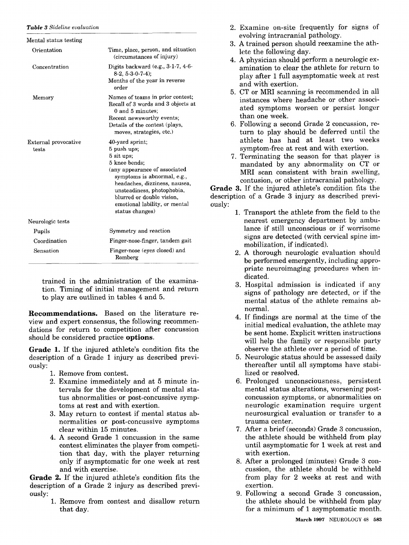#### *TabEe* **3** *Sideline eualuation*

| Mental status testing         |                                                                                                                                                                                                                                                                               |
|-------------------------------|-------------------------------------------------------------------------------------------------------------------------------------------------------------------------------------------------------------------------------------------------------------------------------|
| Orientation                   | Time, place, person, and situation<br>(circumstances of injury)                                                                                                                                                                                                               |
| Concentration                 | Digits backward (e.g., 3-1-7, 4-6-<br>$8-2, 5-3-0-7-4);$<br>Months of the year in reverse<br>order                                                                                                                                                                            |
| Memory                        | Names of teams in prior contest;<br>Recall of 3 words and 3 objects at<br>0 and 5 minutes:<br>Recent newsworthy events;<br>Details of the contest (plays,<br>moves, strategies, etc.)                                                                                         |
| External provocative<br>tests | 40-yard sprint;<br>5 push ups;<br>5 sit ups;<br>5 knee bends:<br>(any appearance of associated<br>symptoms is abnormal, e.g.,<br>headaches, dizziness, nausea,<br>unsteadiness, photophobia,<br>blurred or double vision.<br>emotional lability, or mental<br>status changes) |
| Neurologic tests              |                                                                                                                                                                                                                                                                               |
| Pupils                        | Symmetry and reaction                                                                                                                                                                                                                                                         |
| Coordination                  | Finger-nose-finger, tandem gait                                                                                                                                                                                                                                               |
| Sensation                     | Finger-nose (eyes closed) and<br>Romberg                                                                                                                                                                                                                                      |

trained in the administration of the examination. Timing of initial management and return to play are outlined in tables **4** and *5.* 

**Recommendations.** Based on the literature review and expert consensus, the following recommendations for return to competition after concussion should be considered practice **options.** 

**Grade 1.** If the injured athlete's condition fits the description of a Grade **1** injury as described previously:

- 1. Remove from contest.
- 2. Examine immediately and at 5 minute intervals for the development of mental status abnormalities or post-concussive symptoms at rest and with exertion.
- **3.**  May return to contest if mental status abnormalities or post-concussive symptoms clear within **15** minutes.
- **4. A** second Grade **1** concussion in the same contest eliminates the player from competition that day, with the player returning only if asymptomatic for one week at rest and with exercise.

**Grade 2.** If the injured athlete's condition fits the description of a Grade **2** injury as described previously:

> 1. Remove from contest and disallow return that day.

- 2. Examine on-site frequently for signs of evolving intracranial pathology.
- **3. A** trained person should reexamine the athlete the following day.
- **4. A** physician should perform a neurologic examination to clear the athlete for return to play after 1 full asymptomatic week at rest and with exertion.
- *5.*  CT or MRI scanning is recommended in all instances where headache or other associated symptoms worsen or persist longer than one week.
- 6. Following a second Grade 2 concussion, return to play should be deferred until the athlete has had at least two weeks symptom-free at rest and with exertion.
- 7. Terminating the season for that player is mandated by any abnormality on CT or MRI scan consistent with brain swelling, contusion, or other intracranial pathology.

Grade 3. If the injured athlete's condition fits the description of a Grade **3** injury as described previously:

- **1.**  Transport the athlete from the field to the nearest emergency department by ambulance if still unconscious or if worrisome signs are detected (with cervical spine immobilization, if indicated).
- 2. A thorough neurologic evaluation should be performed emergently, including appropriate neuroimaging procedures when indicated.
- **3.**  Hospital admission is indicated if any signs of pathology are detected, or if the mental status of the athlete remains abnormal.
- **4.**  If findings are normal at the time of the initial medical evaluation, the athlete may be sent home. Explicit written instructions will help the family or responsible party observe the athlete over a period of time.
- 5. Neurologic status should be assessed daily thereafter until all symptoms have stabilized or resolved.
- *6.*  Prolonged unconsciousness, persistent mental status alterations, worsening postconcussion symptoms, or abnormalities on neurologic examination require urgent neurosurgical evaluation or transfer to a trauma center.
- 7. After a brief (seconds) Grade **3** concussion, the athlete should be withheld from play until asymptomatic for 1 week at rest and with exertion.
- *8.*  After a prolonged (minutes) Grade **3** concussion, the athlete should be withheld from play for 2 weeks at rest and with exertion.
- **9.**  Following a second Grade **3** concussion, the athlete should be withheld from play for a minimum of 1 asymptomatic month.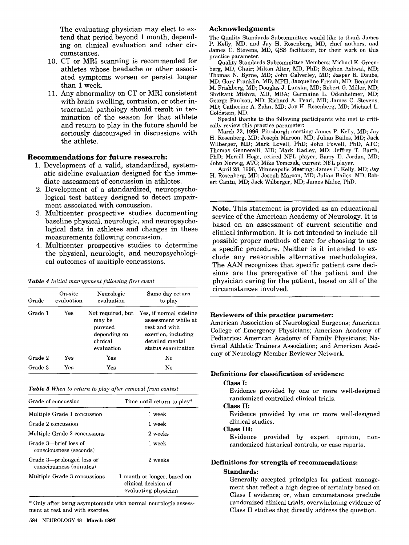The evaluating physician may elect to extend that period beyond 1 month, depending on clinical evaluation and other circumstances.

- 10. CT or MRI scanning is recommended for athletes whose headache or other associated symptoms worsen or persist longer than 1 week.
- 11. Any abnormality on CT or MRI consistent with brain swelling, contusion, or other intracranial pathology should result in termination of the season for that athlete and return to play in the future should be seriously discouraged in discussions with the athlete.

### **Recommendations for future research:**

- 1. Development of a valid, standardized, systematic sideline evaluation designed for the immediate assessment of concussion in athletes.
- 2. Development of a standardized, neuropsychological test battery designed to detect impairment associated with concussion.
- **3.** Multicenter prospective studies documenting baseline physical, neurologic, and neuropsychological data in athletes and changes in these measurements following concussion.
- **4.** Multicenter prospective studies to determine the physical, neurologic, and neuropsychological outcomes of multiple concussions.

#### *Table 4 Initial management following first event*

| Grade   | On-site<br>evaluation | Neurologic<br>evaluation                                                         | Same day return<br>to play<br>Yes, if normal sideline<br>assessment while at<br>rest and with<br>exertion, including<br>detailed mental<br>status examination |  |  |
|---------|-----------------------|----------------------------------------------------------------------------------|---------------------------------------------------------------------------------------------------------------------------------------------------------------|--|--|
| Grade 1 | Yes                   | Not required, but<br>may be<br>pursued<br>depending on<br>clinical<br>evaluation |                                                                                                                                                               |  |  |
| Grade 2 | Yes                   | Yes                                                                              | No                                                                                                                                                            |  |  |
| Grade 3 | Yes                   | Yes                                                                              | Nο                                                                                                                                                            |  |  |

| Table 5 When to return to play after removal from contest |  |  |  |  |  |  |  |  |  |
|-----------------------------------------------------------|--|--|--|--|--|--|--|--|--|
|-----------------------------------------------------------|--|--|--|--|--|--|--|--|--|

| Grade of concussion                                  | Time until return to play*                                                  |
|------------------------------------------------------|-----------------------------------------------------------------------------|
| Multiple Grade 1 concussion                          | 1 week                                                                      |
| Grade 2 concussion                                   | 1 week                                                                      |
| Multiple Grade 2 concussions                         | 2 weeks                                                                     |
| Grade 3-brief loss of<br>consciousness (seconds)     | 1 week                                                                      |
| Grade 3—prolonged loss of<br>consciousness (minutes) | 2 weeks                                                                     |
| Multiple Grade 3 concussions                         | 1 month or longer, based on<br>clinical decision of<br>evaluating physician |

Only after being asymptomatic with normal neurologic assessment at rest and with exercise.

#### **Acknowledgments**

The Quality Standards Subcommittee would like to thank James P. Kelly, MD, and Jay H. Rosenberg, MD, chief authors, and James C. Stevens, MD, QSS facilitator, for their work on this practice parameter.

Quality Standards Subcommittee Members: Michael K. Greenberg, MD, Chair; Milton Alter, MD, PhD; Stephen Ashwal, MD; Thomas N. Byrne, MD; John Calverley, MD; Jasper R. Daube, MD; Gary Franklin, MD, MPH; Jacqueline French, MD; Benjamin M. Frishberg, MD; Douglas J. Lanska, MD; Robert G. Miller, MD; Shrikant Mishra, MD, MBA; Germaine L. Odenheimer, MD; George Paulson, MD; Richard **A.** Pearl, MD; James C. Stevens, MD; Catherine **A.** Zahn, MD; Jay H. Rosenberg, MD; Michael L. Goldstein, MD.

Special thanks to the following participants who met to critically review this practice parameter:

March 22, 1996, Pittsburgh meeting: James P. Kelly, MD; Jay H. Rosenberg, MD; Joseph Maroon, MD; Julian Bailes, MD; Jack Wilberger, MD; Mark Lovell, PhD; John Powell, PhD, ATC; Thomas Gennerelli, MD; Mark Hadley, MD; Jeffrey T. Barth, PhD; Merrill Hoge, retired NFL player; Barry D. Jordan, MD; John Norwig, ATC; Mike Tomczak, current NFL player.

April 28, 1996, Minneapolis Meeting: James P. Kelly, MD; Jay H. Rosenberg, MD; Joseph Maroon, MD; Julian Bailes, MD; Robert Cantu, MD; Jack Wilberger, MD; James Malec, PhD.

**Note.** This statement is provided as an educational service of the American Academy of Neurology. It is based on an assessment of current scientific and clinical information. It is not intended to include all possible proper methods of care for choosing to use a specific procedure. Neither is it intended to exclude any reasonable alternative methodologies. The *AAN* recognizes that specific patient care decisions are the prerogative of the patient and the physician caring for the patient, based on all of the circumstances involved.

#### **Reviewers of this practice parameter:**

American Association of Neurological Surgeons; American College of Emergency Physicians; American Academy of Pediatrics; American Academy of Family Physicians; National Athletic Trainers Association; and American Academy of Neurology Member Reviewer Network.

#### **Definitions for classification of evidence:**

#### **Class I:**

Evidence provided by one or more well-designed randomized controlled clinical trials.

# **Class 11:**

Evidence provided by one or more well-designed clinical studies.

#### **Class 111:**

Evidence provided by expert opinion, nonrandomized historical controls, or case reports.

# **Definitions for strength of recommendations: Standards:**

Generally accepted principles for patient management that reflect a high degree of certainty based on Class I evidence; or, when circumstances preclude randomized clinical trials, overwhelming evidence of Class I1 studies that directly address the question.